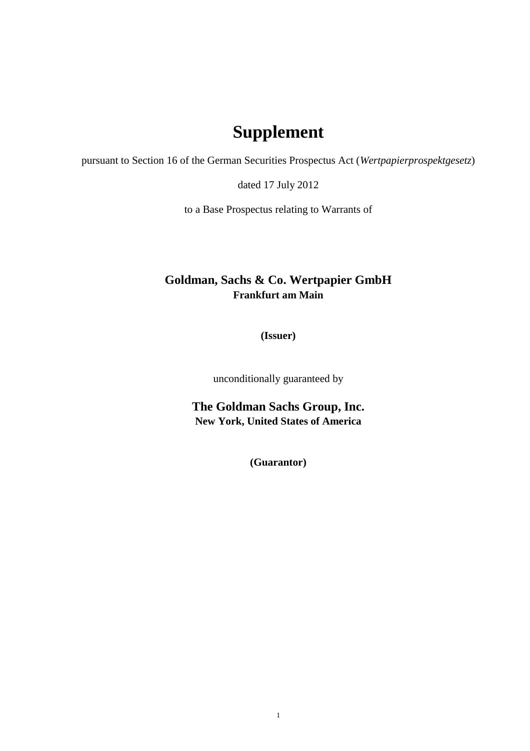## **Supplement**

pursuant to Section 16 of the German Securities Prospectus Act (*Wertpapierprospektgesetz*)

dated 17 July 2012

to a Base Prospectus relating to Warrants of

## **Goldman, Sachs & Co. Wertpapier GmbH Frankfurt am Main**

**(Issuer)**

unconditionally guaranteed by

**The Goldman Sachs Group, Inc. New York, United States of America**

**(Guarantor)**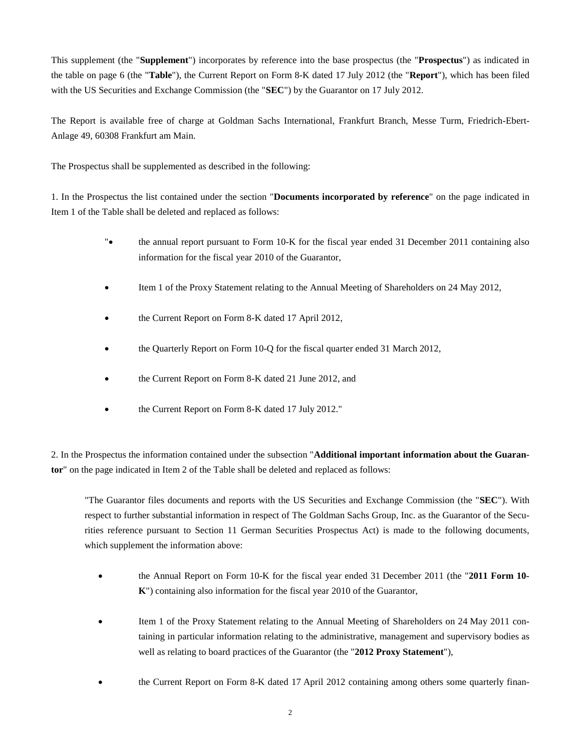This supplement (the "**Supplement**") incorporates by reference into the base prospectus (the "**Prospectus**") as indicated in the table on page 6 (the "**Table**"), the Current Report on Form 8-K dated 17 July 2012 (the "**Report**"), which has been filed with the US Securities and Exchange Commission (the "**SEC**") by the Guarantor on 17 July 2012.

The Report is available free of charge at Goldman Sachs International, Frankfurt Branch, Messe Turm, Friedrich-Ebert-Anlage 49, 60308 Frankfurt am Main.

The Prospectus shall be supplemented as described in the following:

1. In the Prospectus the list contained under the section "**Documents incorporated by reference**" on the page indicated in Item 1 of the Table shall be deleted and replaced as follows:

- "• the annual report pursuant to Form 10-K for the fiscal year ended 31 December 2011 containing also information for the fiscal year 2010 of the Guarantor,
- Item 1 of the Proxy Statement relating to the Annual Meeting of Shareholders on 24 May 2012,
- the Current Report on Form 8-K dated 17 April 2012,
- the Quarterly Report on Form 10-Q for the fiscal quarter ended 31 March 2012,
- the Current Report on Form 8-K dated 21 June 2012, and
- the Current Report on Form 8-K dated 17 July 2012."

2. In the Prospectus the information contained under the subsection "**Additional important information about the Guarantor**" on the page indicated in Item 2 of the Table shall be deleted and replaced as follows:

"The Guarantor files documents and reports with the US Securities and Exchange Commission (the "**SEC**"). With respect to further substantial information in respect of The Goldman Sachs Group, Inc. as the Guarantor of the Securities reference pursuant to Section 11 German Securities Prospectus Act) is made to the following documents, which supplement the information above:

- the Annual Report on Form 10-K for the fiscal year ended 31 December 2011 (the "**2011 Form 10- K**") containing also information for the fiscal year 2010 of the Guarantor,
- Item 1 of the Proxy Statement relating to the Annual Meeting of Shareholders on 24 May 2011 containing in particular information relating to the administrative, management and supervisory bodies as well as relating to board practices of the Guarantor (the "**2012 Proxy Statement**"),
- the Current Report on Form 8-K dated 17 April 2012 containing among others some quarterly finan-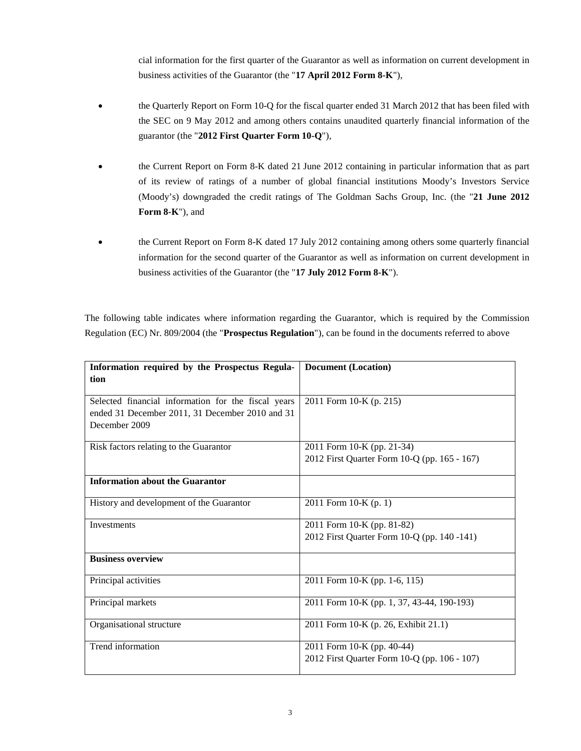cial information for the first quarter of the Guarantor as well as information on current development in business activities of the Guarantor (the "**17 April 2012 Form 8-K**"),

- the Quarterly Report on Form 10-Q for the fiscal quarter ended 31 March 2012 that has been filed with the SEC on 9 May 2012 and among others contains unaudited quarterly financial information of the guarantor (the "**2012 First Quarter Form 10-Q**"),
- the Current Report on Form 8-K dated 21 June 2012 containing in particular information that as part of its review of ratings of a number of global financial institutions Moody's Investors Service (Moody's) downgraded the credit ratings of The Goldman Sachs Group, Inc. (the "**21 June 2012 Form 8-K**"), and
- the Current Report on Form 8-K dated 17 July 2012 containing among others some quarterly financial information for the second quarter of the Guarantor as well as information on current development in business activities of the Guarantor (the "**17 July 2012 Form 8-K**").

The following table indicates where information regarding the Guarantor, which is required by the Commission Regulation (EC) Nr. 809/2004 (the "**Prospectus Regulation**"), can be found in the documents referred to above

| Information required by the Prospectus Regula-<br>tion                                                                  | <b>Document</b> (Location)                                                 |  |  |
|-------------------------------------------------------------------------------------------------------------------------|----------------------------------------------------------------------------|--|--|
| Selected financial information for the fiscal years<br>ended 31 December 2011, 31 December 2010 and 31<br>December 2009 | 2011 Form 10-K (p. 215)                                                    |  |  |
| Risk factors relating to the Guarantor                                                                                  | 2011 Form 10-K (pp. 21-34)<br>2012 First Quarter Form 10-Q (pp. 165 - 167) |  |  |
| <b>Information about the Guarantor</b>                                                                                  |                                                                            |  |  |
| History and development of the Guarantor                                                                                | 2011 Form 10-K (p. 1)                                                      |  |  |
| Investments                                                                                                             | 2011 Form 10-K (pp. 81-82)<br>2012 First Quarter Form 10-Q (pp. 140 -141)  |  |  |
| <b>Business overview</b>                                                                                                |                                                                            |  |  |
| Principal activities                                                                                                    | 2011 Form 10-K (pp. 1-6, 115)                                              |  |  |
| Principal markets                                                                                                       | 2011 Form 10-K (pp. 1, 37, 43-44, 190-193)                                 |  |  |
| Organisational structure                                                                                                | 2011 Form 10-K (p. 26, Exhibit 21.1)                                       |  |  |
| Trend information                                                                                                       | 2011 Form 10-K (pp. 40-44)<br>2012 First Quarter Form 10-Q (pp. 106 - 107) |  |  |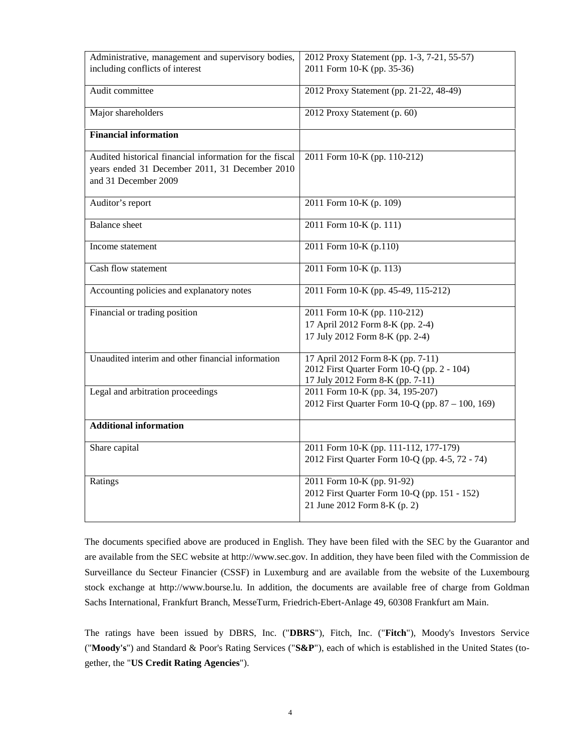| Administrative, management and supervisory bodies,                                                                                | 2012 Proxy Statement (pp. 1-3, 7-21, 55-57)                                                                         |  |  |  |
|-----------------------------------------------------------------------------------------------------------------------------------|---------------------------------------------------------------------------------------------------------------------|--|--|--|
| including conflicts of interest                                                                                                   | 2011 Form 10-K (pp. 35-36)                                                                                          |  |  |  |
| Audit committee                                                                                                                   | 2012 Proxy Statement (pp. 21-22, 48-49)                                                                             |  |  |  |
| Major shareholders                                                                                                                | 2012 Proxy Statement (p. 60)                                                                                        |  |  |  |
| <b>Financial information</b>                                                                                                      |                                                                                                                     |  |  |  |
| Audited historical financial information for the fiscal<br>years ended 31 December 2011, 31 December 2010<br>and 31 December 2009 | 2011 Form 10-K (pp. 110-212)                                                                                        |  |  |  |
| Auditor's report                                                                                                                  | 2011 Form 10-K (p. 109)                                                                                             |  |  |  |
| <b>Balance</b> sheet                                                                                                              | 2011 Form 10-K (p. 111)                                                                                             |  |  |  |
| Income statement                                                                                                                  | 2011 Form 10-K (p.110)                                                                                              |  |  |  |
| Cash flow statement                                                                                                               | 2011 Form 10-K (p. 113)                                                                                             |  |  |  |
| Accounting policies and explanatory notes                                                                                         | 2011 Form 10-K (pp. 45-49, 115-212)                                                                                 |  |  |  |
| Financial or trading position                                                                                                     | 2011 Form 10-K (pp. 110-212)                                                                                        |  |  |  |
|                                                                                                                                   | 17 April 2012 Form 8-K (pp. 2-4)                                                                                    |  |  |  |
|                                                                                                                                   | 17 July 2012 Form 8-K (pp. 2-4)                                                                                     |  |  |  |
| Unaudited interim and other financial information                                                                                 | 17 April 2012 Form 8-K (pp. 7-11)<br>2012 First Quarter Form 10-Q (pp. 2 - 104)<br>17 July 2012 Form 8-K (pp. 7-11) |  |  |  |
| Legal and arbitration proceedings                                                                                                 | 2011 Form 10-K (pp. 34, 195-207)<br>2012 First Quarter Form 10-Q (pp. 87 - 100, 169)                                |  |  |  |
| <b>Additional information</b>                                                                                                     |                                                                                                                     |  |  |  |
| Share capital                                                                                                                     | 2011 Form 10-K (pp. 111-112, 177-179)<br>2012 First Quarter Form 10-Q (pp. 4-5, 72 - 74)                            |  |  |  |
| Ratings                                                                                                                           | 2011 Form 10-K (pp. 91-92)<br>2012 First Quarter Form 10-Q (pp. 151 - 152)<br>21 June 2012 Form 8-K (p. 2)          |  |  |  |

The documents specified above are produced in English. They have been filed with the SEC by the Guarantor and are available from the SEC website at http://www.sec.gov. In addition, they have been filed with the Commission de Surveillance du Secteur Financier (CSSF) in Luxemburg and are available from the website of the Luxembourg stock exchange at http://www.bourse.lu. In addition, the documents are available free of charge from Goldman Sachs International, Frankfurt Branch, MesseTurm, Friedrich-Ebert-Anlage 49, 60308 Frankfurt am Main.

The ratings have been issued by DBRS, Inc. ("**DBRS**"), Fitch, Inc. ("**Fitch**"), Moody's Investors Service ("**Moody's**") and Standard & Poor's Rating Services ("**S&P**"), each of which is established in the United States (together, the "**US Credit Rating Agencies**").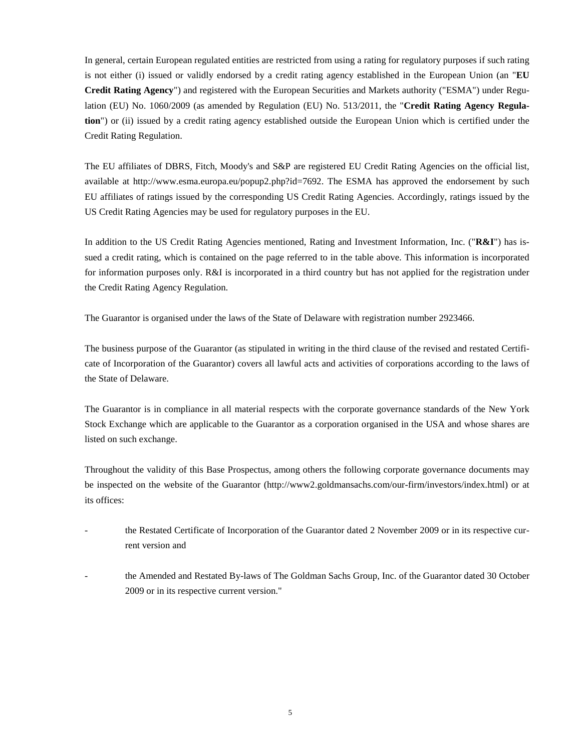In general, certain European regulated entities are restricted from using a rating for regulatory purposes if such rating is not either (i) issued or validly endorsed by a credit rating agency established in the European Union (an "**EU Credit Rating Agency**") and registered with the European Securities and Markets authority ("ESMA") under Regulation (EU) No. 1060/2009 (as amended by Regulation (EU) No. 513/2011, the "**Credit Rating Agency Regulation**") or (ii) issued by a credit rating agency established outside the European Union which is certified under the Credit Rating Regulation.

The EU affiliates of DBRS, Fitch, Moody's and S&P are registered EU Credit Rating Agencies on the official list, availableat [http://www.esma.europa.eu/popup2.php?id=7692.](http://www.esma.europa.eu/popup2.php?id=7692) The ESMA has approved the endorsement by such EU affiliates of ratings issued by the corresponding US Credit Rating Agencies. Accordingly, ratings issued by the US Credit Rating Agencies may be used for regulatory purposes in the EU.

In addition to the US Credit Rating Agencies mentioned, Rating and Investment Information, Inc. ("**R&I**") has issued a credit rating, which is contained on the page referred to in the table above. This information is incorporated for information purposes only. R&I is incorporated in a third country but has not applied for the registration under the Credit Rating Agency Regulation.

The Guarantor is organised under the laws of the State of Delaware with registration number 2923466.

The business purpose of the Guarantor (as stipulated in writing in the third clause of the revised and restated Certificate of Incorporation of the Guarantor) covers all lawful acts and activities of corporations according to the laws of the State of Delaware.

The Guarantor is in compliance in all material respects with the corporate governance standards of the New York Stock Exchange which are applicable to the Guarantor as a corporation organised in the USA and whose shares are listed on such exchange.

Throughout the validity of this Base Prospectus, among others the following corporate governance documents may be inspected on the website of the Guarantor (http://www2.goldmansachs.com/our-firm/investors/index.html) or at its offices:

- the Restated Certificate of Incorporation of the Guarantor dated 2 November 2009 or in its respective current version and
- the Amended and Restated By-laws of The Goldman Sachs Group, Inc. of the Guarantor dated 30 October 2009 or in its respective current version."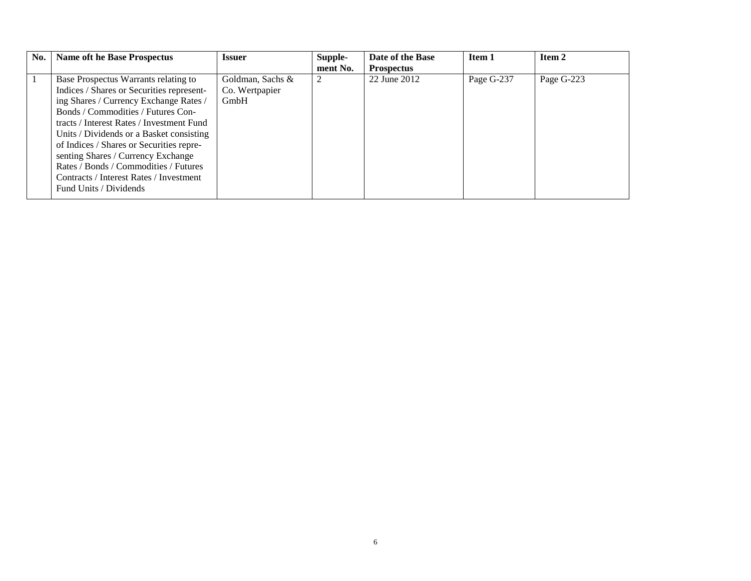| No. | <b>Name oft he Base Prospectus</b>                                                                                                                                                                                                                                                                                                                                                                                                                         | <b>Issuer</b>                              | Supple-<br>ment No. | Date of the Base<br><b>Prospectus</b> | Item 1     | Item 2     |
|-----|------------------------------------------------------------------------------------------------------------------------------------------------------------------------------------------------------------------------------------------------------------------------------------------------------------------------------------------------------------------------------------------------------------------------------------------------------------|--------------------------------------------|---------------------|---------------------------------------|------------|------------|
|     | Base Prospectus Warrants relating to<br>Indices / Shares or Securities represent-<br>ing Shares / Currency Exchange Rates /<br>Bonds / Commodities / Futures Con-<br>tracts / Interest Rates / Investment Fund<br>Units / Dividends or a Basket consisting<br>of Indices / Shares or Securities repre-<br>senting Shares / Currency Exchange<br>Rates / Bonds / Commodities / Futures<br>Contracts / Interest Rates / Investment<br>Fund Units / Dividends | Goldman, Sachs &<br>Co. Wertpapier<br>GmbH | 2                   | 22 June 2012                          | Page G-237 | Page G-223 |